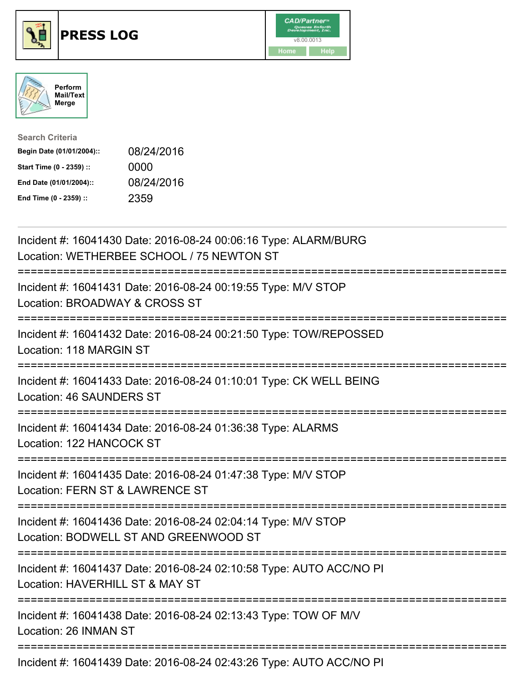





| <b>Search Criteria</b>    |            |
|---------------------------|------------|
| Begin Date (01/01/2004):: | 08/24/2016 |
| Start Time (0 - 2359) ::  | 0000       |
| End Date (01/01/2004)::   | 08/24/2016 |
| End Time (0 - 2359) ::    | 2359       |

| Incident #: 16041430 Date: 2016-08-24 00:06:16 Type: ALARM/BURG<br>Location: WETHERBEE SCHOOL / 75 NEWTON ST                                  |
|-----------------------------------------------------------------------------------------------------------------------------------------------|
| Incident #: 16041431 Date: 2016-08-24 00:19:55 Type: M/V STOP<br>Location: BROADWAY & CROSS ST                                                |
| Incident #: 16041432 Date: 2016-08-24 00:21:50 Type: TOW/REPOSSED<br>Location: 118 MARGIN ST                                                  |
| Incident #: 16041433 Date: 2016-08-24 01:10:01 Type: CK WELL BEING<br><b>Location: 46 SAUNDERS ST</b>                                         |
| Incident #: 16041434 Date: 2016-08-24 01:36:38 Type: ALARMS<br>Location: 122 HANCOCK ST<br>=================                                  |
| Incident #: 16041435 Date: 2016-08-24 01:47:38 Type: M/V STOP<br>Location: FERN ST & LAWRENCE ST<br>.------------------------<br>------------ |
| Incident #: 16041436 Date: 2016-08-24 02:04:14 Type: M/V STOP<br>Location: BODWELL ST AND GREENWOOD ST<br>===========================         |
| Incident #: 16041437 Date: 2016-08-24 02:10:58 Type: AUTO ACC/NO PI<br>Location: HAVERHILL ST & MAY ST                                        |
| Incident #: 16041438 Date: 2016-08-24 02:13:43 Type: TOW OF M/V<br>Location: 26 INMAN ST                                                      |
| Incident #: 16041439 Date: 2016-08-24 02:43:26 Type: AUTO ACC/NO PI                                                                           |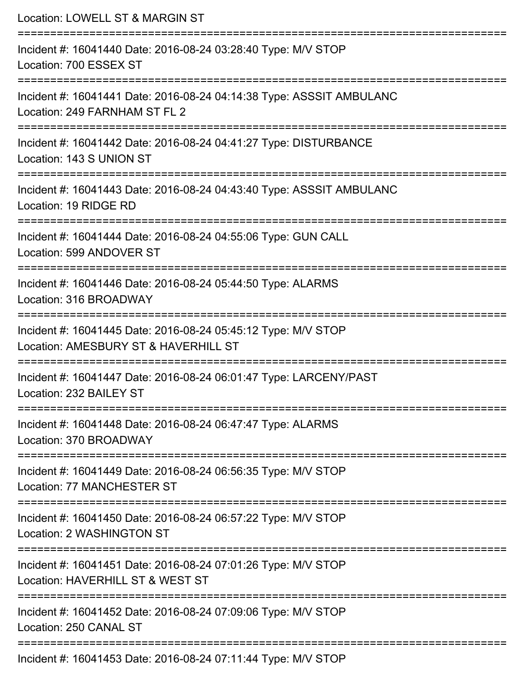| Location: LOWELL ST & MARGIN ST<br>:========================                                                                                |
|---------------------------------------------------------------------------------------------------------------------------------------------|
| Incident #: 16041440 Date: 2016-08-24 03:28:40 Type: M/V STOP<br>Location: 700 ESSEX ST                                                     |
| Incident #: 16041441 Date: 2016-08-24 04:14:38 Type: ASSSIT AMBULANC<br>Location: 249 FARNHAM ST FL 2<br>================================== |
| Incident #: 16041442 Date: 2016-08-24 04:41:27 Type: DISTURBANCE<br>Location: 143 S UNION ST                                                |
| Incident #: 16041443 Date: 2016-08-24 04:43:40 Type: ASSSIT AMBULANC<br>Location: 19 RIDGE RD                                               |
| Incident #: 16041444 Date: 2016-08-24 04:55:06 Type: GUN CALL<br>Location: 599 ANDOVER ST                                                   |
| Incident #: 16041446 Date: 2016-08-24 05:44:50 Type: ALARMS<br>Location: 316 BROADWAY                                                       |
| Incident #: 16041445 Date: 2016-08-24 05:45:12 Type: M/V STOP<br>Location: AMESBURY ST & HAVERHILL ST<br>-----------------------            |
| Incident #: 16041447 Date: 2016-08-24 06:01:47 Type: LARCENY/PAST<br>Location: 232 BAILEY ST                                                |
| Incident #: 16041448 Date: 2016-08-24 06:47:47 Type: ALARMS<br>Location: 370 BROADWAY                                                       |
| Incident #: 16041449 Date: 2016-08-24 06:56:35 Type: M/V STOP<br>Location: 77 MANCHESTER ST                                                 |
| Incident #: 16041450 Date: 2016-08-24 06:57:22 Type: M/V STOP<br>Location: 2 WASHINGTON ST                                                  |
| Incident #: 16041451 Date: 2016-08-24 07:01:26 Type: M/V STOP<br>Location: HAVERHILL ST & WEST ST                                           |
| Incident #: 16041452 Date: 2016-08-24 07:09:06 Type: M/V STOP<br>Location: 250 CANAL ST                                                     |
| Incident #: 16041453 Date: 2016-08-24 07:11:44 Type: M/V STOP                                                                               |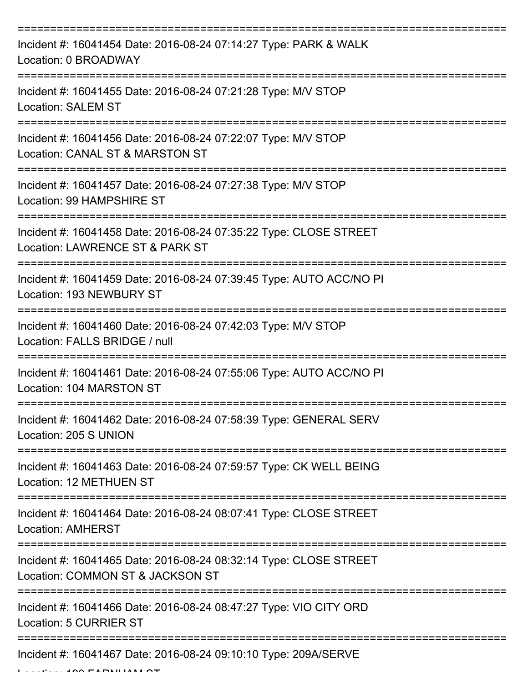| Incident #: 16041454 Date: 2016-08-24 07:14:27 Type: PARK & WALK<br>Location: 0 BROADWAY              |
|-------------------------------------------------------------------------------------------------------|
| Incident #: 16041455 Date: 2016-08-24 07:21:28 Type: M/V STOP<br><b>Location: SALEM ST</b>            |
| Incident #: 16041456 Date: 2016-08-24 07:22:07 Type: M/V STOP<br>Location: CANAL ST & MARSTON ST      |
| Incident #: 16041457 Date: 2016-08-24 07:27:38 Type: M/V STOP<br>Location: 99 HAMPSHIRE ST            |
| Incident #: 16041458 Date: 2016-08-24 07:35:22 Type: CLOSE STREET<br>Location: LAWRENCE ST & PARK ST  |
| Incident #: 16041459 Date: 2016-08-24 07:39:45 Type: AUTO ACC/NO PI<br>Location: 193 NEWBURY ST       |
| Incident #: 16041460 Date: 2016-08-24 07:42:03 Type: M/V STOP<br>Location: FALLS BRIDGE / null        |
| Incident #: 16041461 Date: 2016-08-24 07:55:06 Type: AUTO ACC/NO PI<br>Location: 104 MARSTON ST       |
| Incident #: 16041462 Date: 2016-08-24 07:58:39 Type: GENERAL SERV<br>Location: 205 S UNION            |
| Incident #: 16041463 Date: 2016-08-24 07:59:57 Type: CK WELL BEING<br><b>Location: 12 METHUEN ST</b>  |
| Incident #: 16041464 Date: 2016-08-24 08:07:41 Type: CLOSE STREET<br><b>Location: AMHERST</b>         |
| Incident #: 16041465 Date: 2016-08-24 08:32:14 Type: CLOSE STREET<br>Location: COMMON ST & JACKSON ST |
| Incident #: 16041466 Date: 2016-08-24 08:47:27 Type: VIO CITY ORD<br><b>Location: 5 CURRIER ST</b>    |
| Incident #: 16041467 Date: 2016-08-24 09:10:10 Type: 209A/SERVE                                       |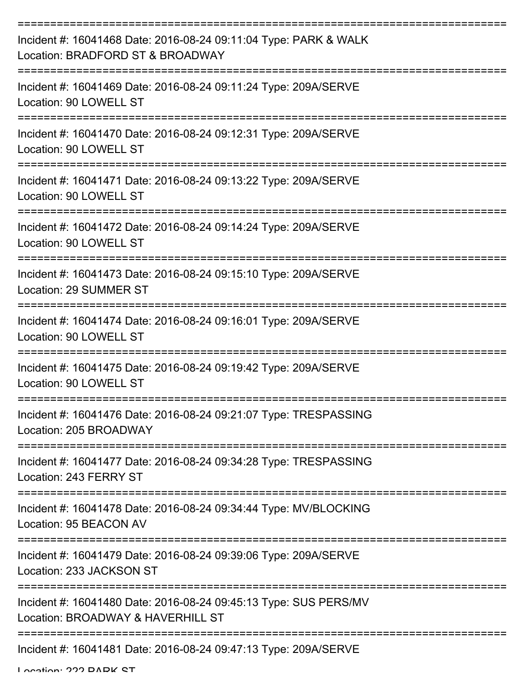| Incident #: 16041468 Date: 2016-08-24 09:11:04 Type: PARK & WALK<br>Location: BRADFORD ST & BROADWAY  |
|-------------------------------------------------------------------------------------------------------|
| Incident #: 16041469 Date: 2016-08-24 09:11:24 Type: 209A/SERVE<br>Location: 90 LOWELL ST             |
| Incident #: 16041470 Date: 2016-08-24 09:12:31 Type: 209A/SERVE<br>Location: 90 LOWELL ST             |
| Incident #: 16041471 Date: 2016-08-24 09:13:22 Type: 209A/SERVE<br>Location: 90 LOWELL ST             |
| Incident #: 16041472 Date: 2016-08-24 09:14:24 Type: 209A/SERVE<br>Location: 90 LOWELL ST             |
| Incident #: 16041473 Date: 2016-08-24 09:15:10 Type: 209A/SERVE<br>Location: 29 SUMMER ST             |
| Incident #: 16041474 Date: 2016-08-24 09:16:01 Type: 209A/SERVE<br>Location: 90 LOWELL ST             |
| Incident #: 16041475 Date: 2016-08-24 09:19:42 Type: 209A/SERVE<br>Location: 90 LOWELL ST             |
| Incident #: 16041476 Date: 2016-08-24 09:21:07 Type: TRESPASSING<br>Location: 205 BROADWAY            |
| Incident #: 16041477 Date: 2016-08-24 09:34:28 Type: TRESPASSING<br>Location: 243 FERRY ST            |
| Incident #: 16041478 Date: 2016-08-24 09:34:44 Type: MV/BLOCKING<br>Location: 95 BEACON AV            |
| Incident #: 16041479 Date: 2016-08-24 09:39:06 Type: 209A/SERVE<br>Location: 233 JACKSON ST           |
| Incident #: 16041480 Date: 2016-08-24 09:45:13 Type: SUS PERS/MV<br>Location: BROADWAY & HAVERHILL ST |
| Incident #: 16041481 Date: 2016-08-24 09:47:13 Type: 209A/SERVE                                       |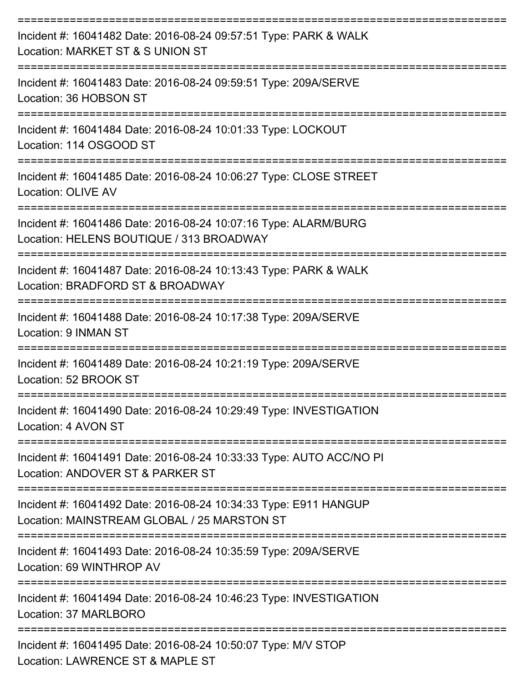| Incident #: 16041482 Date: 2016-08-24 09:57:51 Type: PARK & WALK<br>Location: MARKET ST & S UNION ST<br>:================                                    |
|--------------------------------------------------------------------------------------------------------------------------------------------------------------|
| Incident #: 16041483 Date: 2016-08-24 09:59:51 Type: 209A/SERVE<br>Location: 36 HOBSON ST<br>-------------------                                             |
| Incident #: 16041484 Date: 2016-08-24 10:01:33 Type: LOCKOUT<br>Location: 114 OSGOOD ST                                                                      |
| Incident #: 16041485 Date: 2016-08-24 10:06:27 Type: CLOSE STREET<br>Location: OLIVE AV<br>=======================                                           |
| Incident #: 16041486 Date: 2016-08-24 10:07:16 Type: ALARM/BURG<br>Location: HELENS BOUTIQUE / 313 BROADWAY                                                  |
| Incident #: 16041487 Date: 2016-08-24 10:13:43 Type: PARK & WALK<br>Location: BRADFORD ST & BROADWAY                                                         |
| Incident #: 16041488 Date: 2016-08-24 10:17:38 Type: 209A/SERVE<br>Location: 9 INMAN ST                                                                      |
| Incident #: 16041489 Date: 2016-08-24 10:21:19 Type: 209A/SERVE<br>Location: 52 BROOK ST                                                                     |
| Incident #: 16041490 Date: 2016-08-24 10:29:49 Type: INVESTIGATION<br>Location: 4 AVON ST                                                                    |
| Incident #: 16041491 Date: 2016-08-24 10:33:33 Type: AUTO ACC/NO PI<br>Location: ANDOVER ST & PARKER ST                                                      |
| Incident #: 16041492 Date: 2016-08-24 10:34:33 Type: E911 HANGUP<br>Location: MAINSTREAM GLOBAL / 25 MARSTON ST                                              |
| ---------------------------------<br>------------------------<br>Incident #: 16041493 Date: 2016-08-24 10:35:59 Type: 209A/SERVE<br>Location: 69 WINTHROP AV |
| Incident #: 16041494 Date: 2016-08-24 10:46:23 Type: INVESTIGATION<br>Location: 37 MARLBORO                                                                  |
| Incident #: 16041495 Date: 2016-08-24 10:50:07 Type: M/V STOP<br>Location: LAWRENCE ST & MAPLE ST                                                            |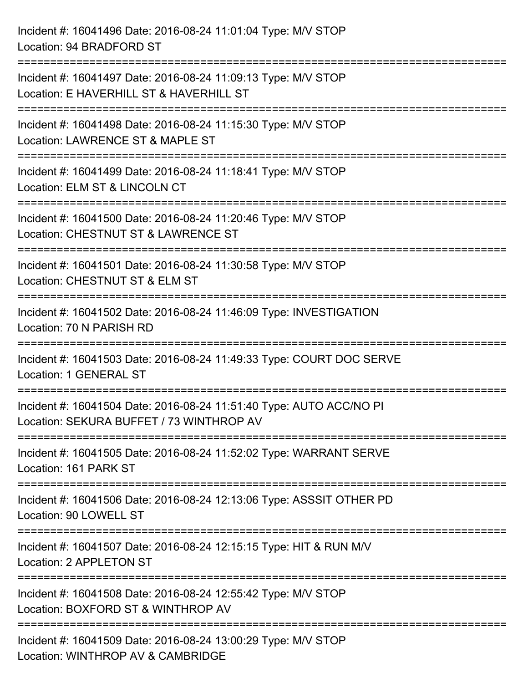| Incident #: 16041496 Date: 2016-08-24 11:01:04 Type: M/V STOP<br>Location: 94 BRADFORD ST                                                                                 |
|---------------------------------------------------------------------------------------------------------------------------------------------------------------------------|
| =================================<br>Incident #: 16041497 Date: 2016-08-24 11:09:13 Type: M/V STOP<br>Location: E HAVERHILL ST & HAVERHILL ST<br>------------------------ |
| Incident #: 16041498 Date: 2016-08-24 11:15:30 Type: M/V STOP<br>Location: LAWRENCE ST & MAPLE ST                                                                         |
| Incident #: 16041499 Date: 2016-08-24 11:18:41 Type: M/V STOP<br>Location: ELM ST & LINCOLN CT<br>---------------------------------                                       |
| Incident #: 16041500 Date: 2016-08-24 11:20:46 Type: M/V STOP<br>Location: CHESTNUT ST & LAWRENCE ST                                                                      |
| Incident #: 16041501 Date: 2016-08-24 11:30:58 Type: M/V STOP<br>Location: CHESTNUT ST & ELM ST<br>----------------------                                                 |
| Incident #: 16041502 Date: 2016-08-24 11:46:09 Type: INVESTIGATION<br>Location: 70 N PARISH RD                                                                            |
| Incident #: 16041503 Date: 2016-08-24 11:49:33 Type: COURT DOC SERVE<br><b>Location: 1 GENERAL ST</b>                                                                     |
| Incident #: 16041504 Date: 2016-08-24 11:51:40 Type: AUTO ACC/NO PI<br>Location: SEKURA BUFFET / 73 WINTHROP AV                                                           |
| Incident #: 16041505 Date: 2016-08-24 11:52:02 Type: WARRANT SERVE<br>Location: 161 PARK ST                                                                               |
| Incident #: 16041506 Date: 2016-08-24 12:13:06 Type: ASSSIT OTHER PD<br>Location: 90 LOWELL ST                                                                            |
| Incident #: 16041507 Date: 2016-08-24 12:15:15 Type: HIT & RUN M/V<br>Location: 2 APPLETON ST                                                                             |
| Incident #: 16041508 Date: 2016-08-24 12:55:42 Type: M/V STOP<br>Location: BOXFORD ST & WINTHROP AV                                                                       |
| Incident #: 16041509 Date: 2016-08-24 13:00:29 Type: M/V STOP<br>Location: WINTHROP AV & CAMBRIDGE                                                                        |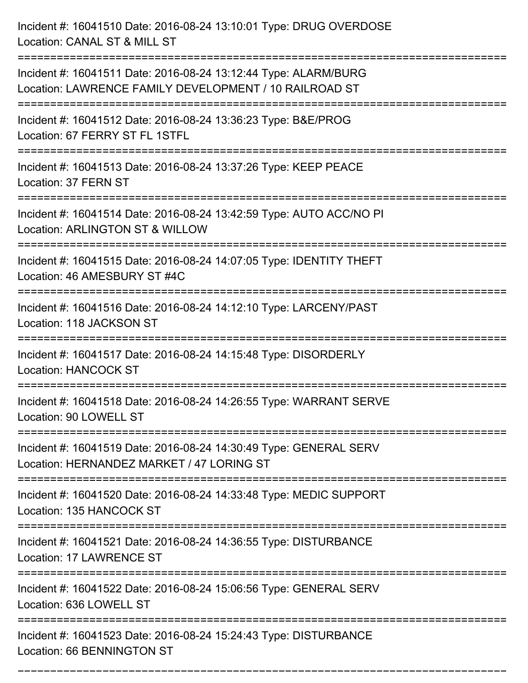Incident #: 16041510 Date: 2016-08-24 13:10:01 Type: DRUG OVERDOSE Location: CANAL ST & MILL ST =========================================================================== Incident #: 16041511 Date: 2016-08-24 13:12:44 Type: ALARM/BURG Location: LAWRENCE FAMILY DEVELOPMENT / 10 RAILROAD ST =========================================================================== Incident #: 16041512 Date: 2016-08-24 13:36:23 Type: B&E/PROG Location: 67 FERRY ST FL 1STFL =========================================================================== Incident #: 16041513 Date: 2016-08-24 13:37:26 Type: KEEP PEACE Location: 37 FERN ST =========================================================================== Incident #: 16041514 Date: 2016-08-24 13:42:59 Type: AUTO ACC/NO PI Location: ARLINGTON ST & WILLOW =========================================================================== Incident #: 16041515 Date: 2016-08-24 14:07:05 Type: IDENTITY THEFT Location: 46 AMESBURY ST #4C =========================================================================== Incident #: 16041516 Date: 2016-08-24 14:12:10 Type: LARCENY/PAST Location: 118 JACKSON ST =========================================================================== Incident #: 16041517 Date: 2016-08-24 14:15:48 Type: DISORDERLY Location: HANCOCK ST =========================================================================== Incident #: 16041518 Date: 2016-08-24 14:26:55 Type: WARRANT SERVE Location: 90 LOWELL ST =========================================================================== Incident #: 16041519 Date: 2016-08-24 14:30:49 Type: GENERAL SERV Location: HERNANDEZ MARKET / 47 LORING ST =========================================================================== Incident #: 16041520 Date: 2016-08-24 14:33:48 Type: MEDIC SUPPORT Location: 135 HANCOCK ST =========================================================================== Incident #: 16041521 Date: 2016-08-24 14:36:55 Type: DISTURBANCE Location: 17 LAWRENCE ST =========================================================================== Incident #: 16041522 Date: 2016-08-24 15:06:56 Type: GENERAL SERV Location: 636 LOWELL ST =========================================================================== Incident #: 16041523 Date: 2016-08-24 15:24:43 Type: DISTURBANCE Location: 66 BENNINGTON ST

===========================================================================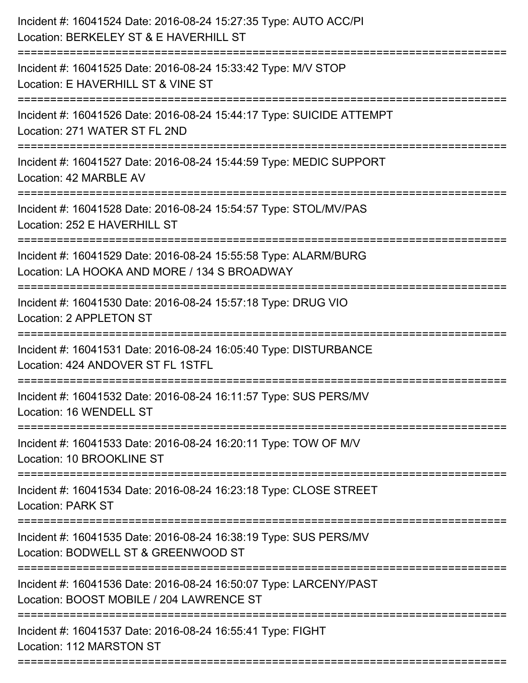| Incident #: 16041524 Date: 2016-08-24 15:27:35 Type: AUTO ACC/PI<br>Location: BERKELEY ST & E HAVERHILL ST<br>=============================== |
|-----------------------------------------------------------------------------------------------------------------------------------------------|
| Incident #: 16041525 Date: 2016-08-24 15:33:42 Type: M/V STOP<br>Location: E HAVERHILL ST & VINE ST                                           |
| Incident #: 16041526 Date: 2016-08-24 15:44:17 Type: SUICIDE ATTEMPT<br>Location: 271 WATER ST FL 2ND<br>;=================================== |
| Incident #: 16041527 Date: 2016-08-24 15:44:59 Type: MEDIC SUPPORT<br>Location: 42 MARBLE AV<br>-----------------------------------           |
| Incident #: 16041528 Date: 2016-08-24 15:54:57 Type: STOL/MV/PAS<br>Location: 252 E HAVERHILL ST                                              |
| Incident #: 16041529 Date: 2016-08-24 15:55:58 Type: ALARM/BURG<br>Location: LA HOOKA AND MORE / 134 S BROADWAY                               |
| ================================<br>Incident #: 16041530 Date: 2016-08-24 15:57:18 Type: DRUG VIO<br>Location: 2 APPLETON ST                  |
| Incident #: 16041531 Date: 2016-08-24 16:05:40 Type: DISTURBANCE<br>Location: 424 ANDOVER ST FL 1STFL                                         |
| Incident #: 16041532 Date: 2016-08-24 16:11:57 Type: SUS PERS/MV<br>Location: 16 WENDELL ST                                                   |
| Incident #: 16041533 Date: 2016-08-24 16:20:11 Type: TOW OF M/V<br>Location: 10 BROOKLINE ST                                                  |
| Incident #: 16041534 Date: 2016-08-24 16:23:18 Type: CLOSE STREET<br><b>Location: PARK ST</b>                                                 |
| Incident #: 16041535 Date: 2016-08-24 16:38:19 Type: SUS PERS/MV<br>Location: BODWELL ST & GREENWOOD ST                                       |
| Incident #: 16041536 Date: 2016-08-24 16:50:07 Type: LARCENY/PAST<br>Location: BOOST MOBILE / 204 LAWRENCE ST                                 |
| Incident #: 16041537 Date: 2016-08-24 16:55:41 Type: FIGHT<br>Location: 112 MARSTON ST                                                        |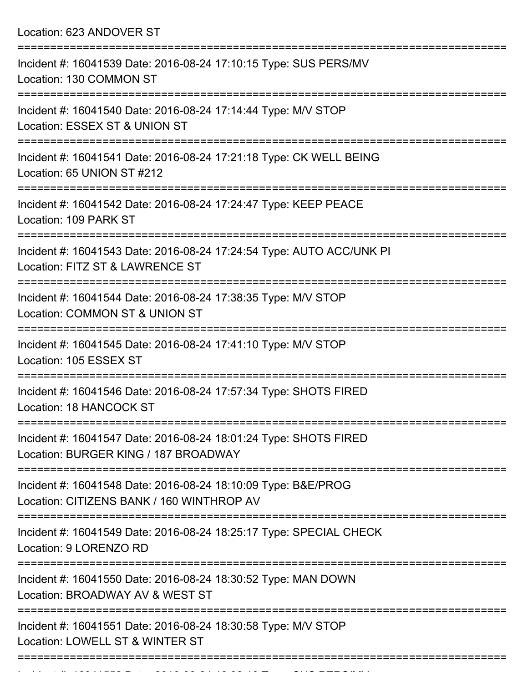Location: 623 ANDOVER ST

| Incident #: 16041539 Date: 2016-08-24 17:10:15 Type: SUS PERS/MV<br>Location: 130 COMMON ST                                     |
|---------------------------------------------------------------------------------------------------------------------------------|
| Incident #: 16041540 Date: 2016-08-24 17:14:44 Type: M/V STOP<br>Location: ESSEX ST & UNION ST                                  |
| Incident #: 16041541 Date: 2016-08-24 17:21:18 Type: CK WELL BEING<br>Location: 65 UNION ST #212                                |
| Incident #: 16041542 Date: 2016-08-24 17:24:47 Type: KEEP PEACE<br>Location: 109 PARK ST                                        |
| ====================<br>Incident #: 16041543 Date: 2016-08-24 17:24:54 Type: AUTO ACC/UNK PI<br>Location: FITZ ST & LAWRENCE ST |
| Incident #: 16041544 Date: 2016-08-24 17:38:35 Type: M/V STOP<br>Location: COMMON ST & UNION ST                                 |
| Incident #: 16041545 Date: 2016-08-24 17:41:10 Type: M/V STOP<br>Location: 105 ESSEX ST                                         |
| Incident #: 16041546 Date: 2016-08-24 17:57:34 Type: SHOTS FIRED<br><b>Location: 18 HANCOCK ST</b>                              |
| Incident #: 16041547 Date: 2016-08-24 18:01:24 Type: SHOTS FIRED<br>Location: BURGER KING / 187 BROADWAY                        |
| Incident #: 16041548 Date: 2016-08-24 18:10:09 Type: B&E/PROG<br>Location: CITIZENS BANK / 160 WINTHROP AV                      |
| Incident #: 16041549 Date: 2016-08-24 18:25:17 Type: SPECIAL CHECK<br>Location: 9 LORENZO RD                                    |
| Incident #: 16041550 Date: 2016-08-24 18:30:52 Type: MAN DOWN<br>Location: BROADWAY AV & WEST ST                                |
| Incident #: 16041551 Date: 2016-08-24 18:30:58 Type: M/V STOP<br>Location: LOWELL ST & WINTER ST                                |
|                                                                                                                                 |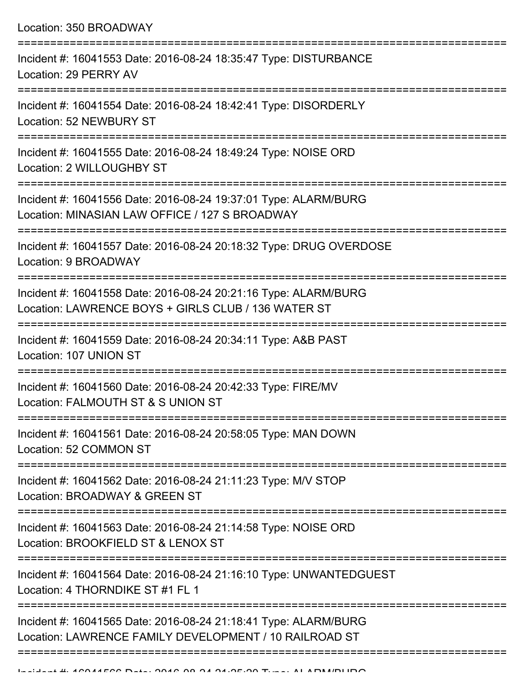| Location: 350 BROADWAY                                                                                                                                       |
|--------------------------------------------------------------------------------------------------------------------------------------------------------------|
| Incident #: 16041553 Date: 2016-08-24 18:35:47 Type: DISTURBANCE<br>Location: 29 PERRY AV                                                                    |
| Incident #: 16041554 Date: 2016-08-24 18:42:41 Type: DISORDERLY<br>Location: 52 NEWBURY ST                                                                   |
| Incident #: 16041555 Date: 2016-08-24 18:49:24 Type: NOISE ORD<br>Location: 2 WILLOUGHBY ST                                                                  |
| Incident #: 16041556 Date: 2016-08-24 19:37:01 Type: ALARM/BURG<br>Location: MINASIAN LAW OFFICE / 127 S BROADWAY                                            |
| Incident #: 16041557 Date: 2016-08-24 20:18:32 Type: DRUG OVERDOSE<br>Location: 9 BROADWAY                                                                   |
| Incident #: 16041558 Date: 2016-08-24 20:21:16 Type: ALARM/BURG<br>Location: LAWRENCE BOYS + GIRLS CLUB / 136 WATER ST<br>:================================= |
| Incident #: 16041559 Date: 2016-08-24 20:34:11 Type: A&B PAST<br>Location: 107 UNION ST                                                                      |
| Incident #: 16041560 Date: 2016-08-24 20:42:33 Type: FIRE/MV<br>Location: FALMOUTH ST & S UNION ST<br>===============================                        |
| Incident #: 16041561 Date: 2016-08-24 20:58:05 Type: MAN DOWN<br>Location: 52 COMMON ST                                                                      |
| Incident #: 16041562 Date: 2016-08-24 21:11:23 Type: M/V STOP<br>Location: BROADWAY & GREEN ST                                                               |
| Incident #: 16041563 Date: 2016-08-24 21:14:58 Type: NOISE ORD<br>Location: BROOKFIELD ST & LENOX ST                                                         |
| Incident #: 16041564 Date: 2016-08-24 21:16:10 Type: UNWANTEDGUEST<br>Location: 4 THORNDIKE ST #1 FL 1                                                       |
| Incident #: 16041565 Date: 2016-08-24 21:18:41 Type: ALARM/BURG<br>Location: LAWRENCE FAMILY DEVELOPMENT / 10 RAILROAD ST                                    |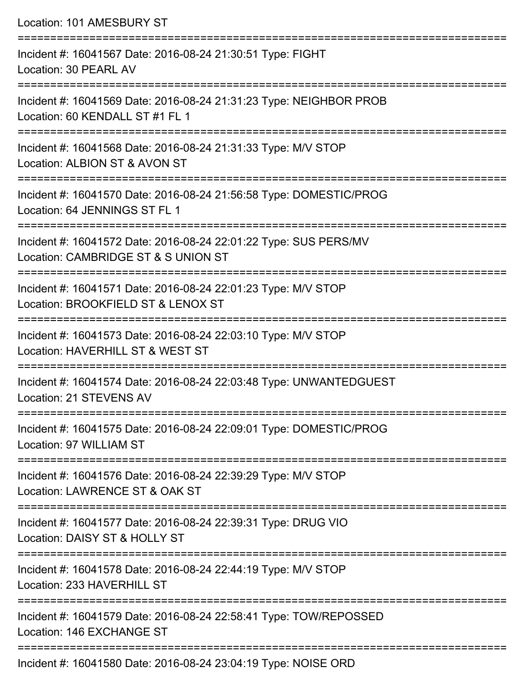Location: 101 AMESBURY ST =========================================================================== Incident #: 16041567 Date: 2016-08-24 21:30:51 Type: FIGHT Location: 30 PEARL AV =========================================================================== Incident #: 16041569 Date: 2016-08-24 21:31:23 Type: NEIGHBOR PROB Location: 60 KENDALL ST #1 FL 1 =========================================================================== Incident #: 16041568 Date: 2016-08-24 21:31:33 Type: M/V STOP Location: ALBION ST & AVON ST =========================================================================== Incident #: 16041570 Date: 2016-08-24 21:56:58 Type: DOMESTIC/PROG Location: 64 JENNINGS ST FL 1 =========================================================================== Incident #: 16041572 Date: 2016-08-24 22:01:22 Type: SUS PERS/MV Location: CAMBRIDGE ST & S UNION ST =========================================================================== Incident #: 16041571 Date: 2016-08-24 22:01:23 Type: M/V STOP Location: BROOKFIELD ST & LENOX ST =========================================================================== Incident #: 16041573 Date: 2016-08-24 22:03:10 Type: M/V STOP Location: HAVERHILL ST & WEST ST =========================================================================== Incident #: 16041574 Date: 2016-08-24 22:03:48 Type: UNWANTEDGUEST Location: 21 STEVENS AV =========================================================================== Incident #: 16041575 Date: 2016-08-24 22:09:01 Type: DOMESTIC/PROG Location: 97 WILLIAM ST =========================================================================== Incident #: 16041576 Date: 2016-08-24 22:39:29 Type: M/V STOP Location: LAWRENCE ST & OAK ST =========================================================================== Incident #: 16041577 Date: 2016-08-24 22:39:31 Type: DRUG VIO Location: DAISY ST & HOLLY ST =========================================================================== Incident #: 16041578 Date: 2016-08-24 22:44:19 Type: M/V STOP Location: 233 HAVERHILL ST =========================================================================== Incident #: 16041579 Date: 2016-08-24 22:58:41 Type: TOW/REPOSSED Location: 146 EXCHANGE ST ===========================================================================

Incident #: 16041580 Date: 2016-08-24 23:04:19 Type: NOISE ORD